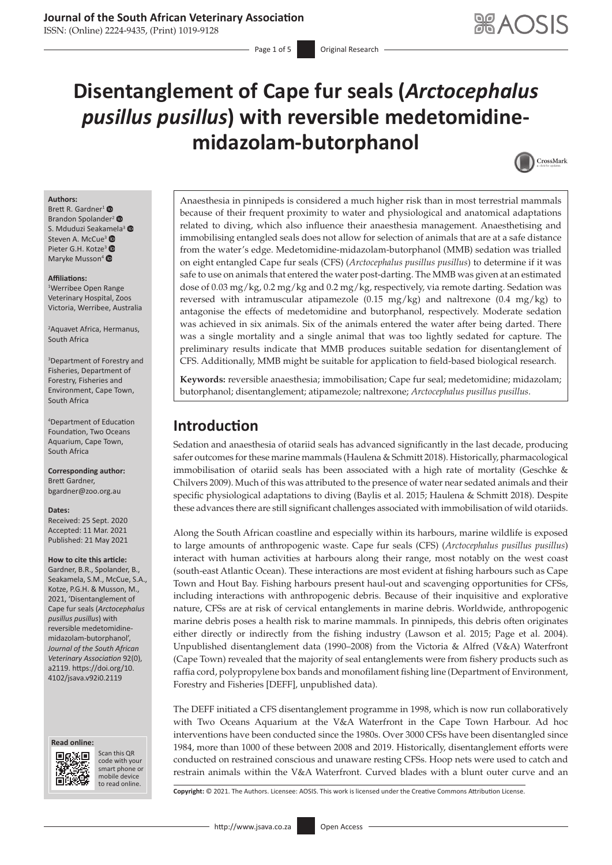# **Journal of the South African Veterinary Association**

ISSN: (Online) 2224-9435, (Print) 1019-9128

# **Disentanglement of Cape fur seals (***Arctocephalus pusillus pusillus***) with reversible medetomidinemidazolam-butorphanol**



#### **Authors:**

Brett R. Gardner<sup>1</sup> $\bullet$ Brandon Spolander<sup>[2](https://orcid.org/0000-0002-3526-9822)</sup> <sup>®</sup> S. Mduduzi Seaka[mel](http://orcid.org/0000-0001-9601-0067)a<sup>3</sup> Steven A. McCue<sup>3</sup> <sup>®</sup> Pieter G.H. Kotze<sup>3</sup> Maryke Musson<sup>[4](https://orcid.org/0000-0001-8681-1493)</sup> <sup>O</sup>

#### **Affiliations:**

1 Werribee Open Range Veterinary Hospital, Zoos Victoria, Werribee, Australia

2 Aquavet Africa, Hermanus, South Africa

3 Department of Forestry and Fisheries, Department of Forestry, Fisheries and Environment, Cape Town, South Africa

4 Department of Education Foundation, Two Oceans Aquarium, Cape Town, South Africa

**Corresponding author:** Brett Gardner, [bgardner@zoo.org.au](mailto:bgardner@zoo.org.au)

#### **Dates:**

Received: 25 Sept. 2020 Accepted: 11 Mar. 2021 Published: 21 May 2021

#### **How to cite this article:**

Gardner, B.R., Spolander, B., Seakamela, S.M., McCue, S.A., Kotze, P.G.H. & Musson, M., 2021, 'Disentanglement of Cape fur seals (*Arctocephalus pusillus pusillus*) with reversible medetomidinemidazolam-butorphanol', *Journal of the South African Veterinary Association* 92(0), a2119. [https://doi.org/10.](https://doi.org/10.4102/jsava.v92i0.2119) [4102/jsava.v92i0.2119](https://doi.org/10.4102/jsava.v92i0.2119)





Scan this QR code with your Scan this QR<br>code with your<br>smart phone or<br>mobile device mobile device to read online. to read online.

Anaesthesia in pinnipeds is considered a much higher risk than in most terrestrial mammals because of their frequent proximity to water and physiological and anatomical adaptations related to diving, which also influence their anaesthesia management. Anaesthetising and immobilising entangled seals does not allow for selection of animals that are at a safe distance from the water's edge. Medetomidine-midazolam-butorphanol (MMB) sedation was trialled on eight entangled Cape fur seals (CFS) (*Arctocephalus pusillus pusillus*) to determine if it was safe to use on animals that entered the water post-darting. The MMB was given at an estimated dose of 0.03 mg/kg, 0.2 mg/kg and 0.2 mg/kg, respectively, via remote darting. Sedation was reversed with intramuscular atipamezole (0.15 mg/kg) and naltrexone (0.4 mg/kg) to antagonise the effects of medetomidine and butorphanol, respectively. Moderate sedation was achieved in six animals. Six of the animals entered the water after being darted. There was a single mortality and a single animal that was too lightly sedated for capture. The preliminary results indicate that MMB produces suitable sedation for disentanglement of CFS. Additionally, MMB might be suitable for application to field-based biological research.

**Keywords:** reversible anaesthesia; immobilisation; Cape fur seal; medetomidine; midazolam; butorphanol; disentanglement; atipamezole; naltrexone; *Arctocephalus pusillus pusillus*.

# **Introduction**

Sedation and anaesthesia of otariid seals has advanced significantly in the last decade, producing safer outcomes for these marine mammals (Haulena & Schmitt 2018). Historically, pharmacological immobilisation of otariid seals has been associated with a high rate of mortality (Geschke & Chilvers 2009). Much of this was attributed to the presence of water near sedated animals and their specific physiological adaptations to diving (Baylis et al. 2015; Haulena & Schmitt 2018). Despite these advances there are still significant challenges associated with immobilisation of wild otariids.

Along the South African coastline and especially within its harbours, marine wildlife is exposed to large amounts of anthropogenic waste. Cape fur seals (CFS) (*Arctocephalus pusillus pusillus*) interact with human activities at harbours along their range, most notably on the west coast (south-east Atlantic Ocean). These interactions are most evident at fishing harbours such as Cape Town and Hout Bay. Fishing harbours present haul-out and scavenging opportunities for CFSs, including interactions with anthropogenic debris. Because of their inquisitive and explorative nature, CFSs are at risk of cervical entanglements in marine debris. Worldwide, anthropogenic marine debris poses a health risk to marine mammals. In pinnipeds, this debris often originates either directly or indirectly from the fishing industry (Lawson et al. 2015; Page et al. 2004). Unpublished disentanglement data (1990–2008) from the Victoria & Alfred (V&A) Waterfront (Cape Town) revealed that the majority of seal entanglements were from fishery products such as raffia cord, polypropylene box bands and monofilament fishing line (Department of Environment, Forestry and Fisheries [DEFF], unpublished data).

The DEFF initiated a CFS disentanglement programme in 1998, which is now run collaboratively with Two Oceans Aquarium at the V&A Waterfront in the Cape Town Harbour. Ad hoc interventions have been conducted since the 1980s. Over 3000 CFSs have been disentangled since 1984, more than 1000 of these between 2008 and 2019. Historically, disentanglement efforts were conducted on restrained conscious and unaware resting CFSs. Hoop nets were used to catch and restrain animals within the V&A Waterfront. Curved blades with a blunt outer curve and an

**Copyright:** © 2021. The Authors. Licensee: AOSIS. This work is licensed under the Creative Commons Attribution License.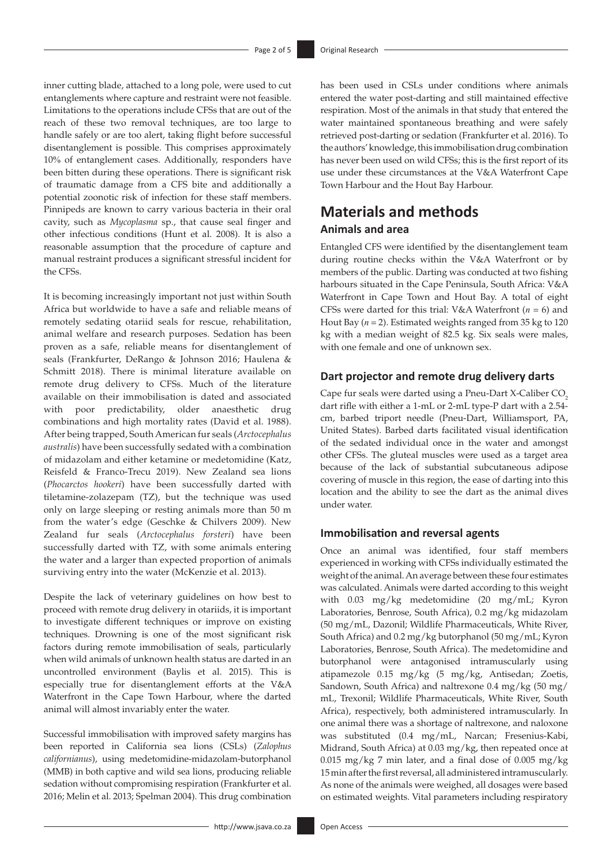inner cutting blade, attached to a long pole, were used to cut entanglements where capture and restraint were not feasible. Limitations to the operations include CFSs that are out of the reach of these two removal techniques, are too large to handle safely or are too alert, taking flight before successful disentanglement is possible. This comprises approximately 10% of entanglement cases. Additionally, responders have been bitten during these operations. There is significant risk of traumatic damage from a CFS bite and additionally a potential zoonotic risk of infection for these staff members. Pinnipeds are known to carry various bacteria in their oral cavity, such as *Mycoplasma* sp., that cause seal finger and other infectious conditions (Hunt et al. 2008). It is also a reasonable assumption that the procedure of capture and manual restraint produces a significant stressful incident for the CFSs.

It is becoming increasingly important not just within South Africa but worldwide to have a safe and reliable means of remotely sedating otariid seals for rescue, rehabilitation, animal welfare and research purposes. Sedation has been proven as a safe, reliable means for disentanglement of seals (Frankfurter, DeRango & Johnson 2016; Haulena & Schmitt 2018). There is minimal literature available on remote drug delivery to CFSs. Much of the literature available on their immobilisation is dated and associated with poor predictability, older anaesthetic drug combinations and high mortality rates (David et al. 1988). After being trapped, South American fur seals (*Arctocephalus australis*) have been successfully sedated with a combination of midazolam and either ketamine or medetomidine (Katz, Reisfeld & Franco-Trecu 2019). New Zealand sea lions (*Phocarctos hookeri*) have been successfully darted with tiletamine-zolazepam (TZ), but the technique was used only on large sleeping or resting animals more than 50 m from the water's edge (Geschke & Chilvers 2009). New Zealand fur seals (*Arctocephalus forsteri*) have been successfully darted with TZ, with some animals entering the water and a larger than expected proportion of animals surviving entry into the water (McKenzie et al. 2013).

Despite the lack of veterinary guidelines on how best to proceed with remote drug delivery in otariids, it is important to investigate different techniques or improve on existing techniques. Drowning is one of the most significant risk factors during remote immobilisation of seals, particularly when wild animals of unknown health status are darted in an uncontrolled environment (Baylis et al. 2015). This is especially true for disentanglement efforts at the V&A Waterfront in the Cape Town Harbour, where the darted animal will almost invariably enter the water.

Successful immobilisation with improved safety margins has been reported in California sea lions (CSLs) (*Zalophus californianus*), using medetomidine-midazolam-butorphanol (MMB) in both captive and wild sea lions, producing reliable sedation without compromising respiration (Frankfurter et al. 2016; Melin et al. 2013; Spelman 2004). This drug combination has been used in CSLs under conditions where animals entered the water post-darting and still maintained effective respiration. Most of the animals in that study that entered the water maintained spontaneous breathing and were safely retrieved post-darting or sedation (Frankfurter et al. 2016). To the authors' knowledge, this immobilisation drug combination has never been used on wild CFSs; this is the first report of its use under these circumstances at the V&A Waterfront Cape Town Harbour and the Hout Bay Harbour.

# **Materials and methods Animals and area**

Entangled CFS were identified by the disentanglement team during routine checks within the V&A Waterfront or by members of the public. Darting was conducted at two fishing harbours situated in the Cape Peninsula, South Africa: V&A Waterfront in Cape Town and Hout Bay. A total of eight CFSs were darted for this trial: V&A Waterfront (*n* = 6) and Hout Bay (*n* = 2). Estimated weights ranged from 35 kg to 120 kg with a median weight of 82.5 kg. Six seals were males, with one female and one of unknown sex.

## **Dart projector and remote drug delivery darts**

Cape fur seals were darted using a Pneu-Dart X-Caliber CO<sub>2</sub> dart rifle with either a 1-mL or 2-mL type-P dart with a 2.54 cm, barbed triport needle (Pneu-Dart, Williamsport, PA, United States). Barbed darts facilitated visual identification of the sedated individual once in the water and amongst other CFSs. The gluteal muscles were used as a target area because of the lack of substantial subcutaneous adipose covering of muscle in this region, the ease of darting into this location and the ability to see the dart as the animal dives under water.

## **Immobilisation and reversal agents**

Once an animal was identified, four staff members experienced in working with CFSs individually estimated the weight of the animal. An average between these four estimates was calculated. Animals were darted according to this weight with 0.03 mg/kg medetomidine (20 mg/mL; Kyron Laboratories, Benrose, South Africa), 0.2 mg/kg midazolam (50 mg/mL, Dazonil; Wildlife Pharmaceuticals, White River, South Africa) and 0.2 mg/kg butorphanol (50 mg/mL; Kyron Laboratories, Benrose, South Africa). The medetomidine and butorphanol were antagonised intramuscularly using atipamezole 0.15 mg/kg (5 mg/kg, Antisedan; Zoetis, Sandown, South Africa) and naltrexone 0.4 mg/kg (50 mg/ mL, Trexonil; Wildlife Pharmaceuticals, White River, South Africa), respectively, both administered intramuscularly. In one animal there was a shortage of naltrexone, and naloxone was substituted (0.4 mg/mL, Narcan; Fresenius-Kabi, Midrand, South Africa) at 0.03 mg/kg, then repeated once at 0.015 mg/kg 7 min later, and a final dose of 0.005 mg/kg 15min after the first reversal, all administered intramuscularly. As none of the animals were weighed, all dosages were based on estimated weights. Vital parameters including respiratory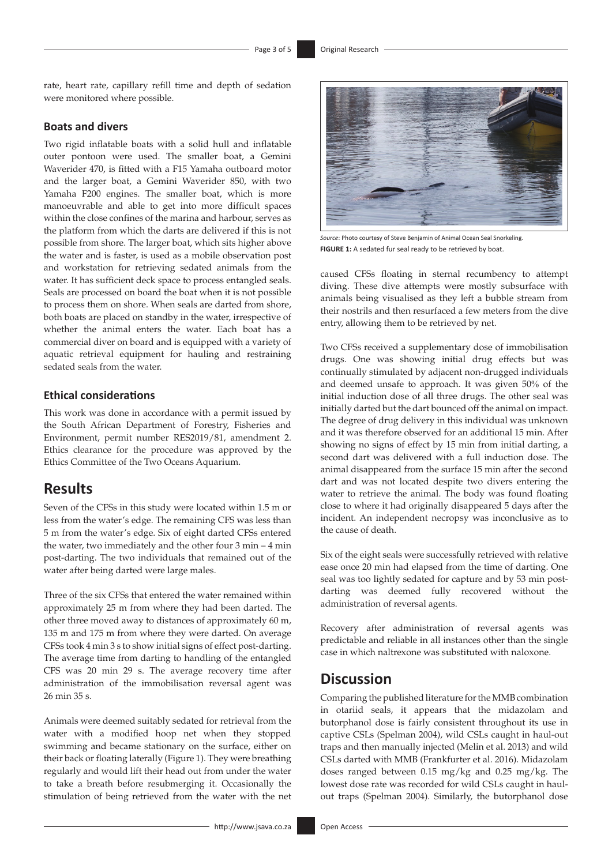rate, heart rate, capillary refill time and depth of sedation were monitored where possible.

#### **Boats and divers**

Two rigid inflatable boats with a solid hull and inflatable outer pontoon were used. The smaller boat, a Gemini Waverider 470, is fitted with a F15 Yamaha outboard motor and the larger boat, a Gemini Waverider 850, with two Yamaha F200 engines. The smaller boat, which is more manoeuvrable and able to get into more difficult spaces within the close confines of the marina and harbour, serves as the platform from which the darts are delivered if this is not possible from shore. The larger boat, which sits higher above the water and is faster, is used as a mobile observation post and workstation for retrieving sedated animals from the water. It has sufficient deck space to process entangled seals. Seals are processed on board the boat when it is not possible to process them on shore. When seals are darted from shore, both boats are placed on standby in the water, irrespective of whether the animal enters the water. Each boat has a commercial diver on board and is equipped with a variety of aquatic retrieval equipment for hauling and restraining sedated seals from the water.

## **Ethical considerations**

This work was done in accordance with a permit issued by the South African Department of Forestry, Fisheries and Environment, permit number RES2019/81, amendment 2. Ethics clearance for the procedure was approved by the Ethics Committee of the Two Oceans Aquarium.

## **Results**

Seven of the CFSs in this study were located within 1.5 m or less from the water's edge. The remaining CFS was less than 5 m from the water's edge. Six of eight darted CFSs entered the water, two immediately and the other four 3 min – 4 min post-darting. The two individuals that remained out of the water after being darted were large males.

Three of the six CFSs that entered the water remained within approximately 25 m from where they had been darted. The other three moved away to distances of approximately 60 m, 135 m and 175 m from where they were darted. On average CFSs took 4 min 3 s to show initial signs of effect post-darting. The average time from darting to handling of the entangled CFS was 20 min 29 s. The average recovery time after administration of the immobilisation reversal agent was 26 min 35 s.

Animals were deemed suitably sedated for retrieval from the water with a modified hoop net when they stopped swimming and became stationary on the surface, either on their back or floating laterally (Figure 1). They were breathing regularly and would lift their head out from under the water to take a breath before resubmerging it. Occasionally the stimulation of being retrieved from the water with the net



*Source*: Photo courtesy of Steve Benjamin of Animal Ocean Seal Snorkeling. **FIGURE 1:** A sedated fur seal ready to be retrieved by boat.

caused CFSs floating in sternal recumbency to attempt diving. These dive attempts were mostly subsurface with animals being visualised as they left a bubble stream from their nostrils and then resurfaced a few meters from the dive entry, allowing them to be retrieved by net.

Two CFSs received a supplementary dose of immobilisation drugs. One was showing initial drug effects but was continually stimulated by adjacent non-drugged individuals and deemed unsafe to approach. It was given 50% of the initial induction dose of all three drugs. The other seal was initially darted but the dart bounced off the animal on impact. The degree of drug delivery in this individual was unknown and it was therefore observed for an additional 15 min. After showing no signs of effect by 15 min from initial darting, a second dart was delivered with a full induction dose. The animal disappeared from the surface 15 min after the second dart and was not located despite two divers entering the water to retrieve the animal. The body was found floating close to where it had originally disappeared 5 days after the incident. An independent necropsy was inconclusive as to the cause of death.

Six of the eight seals were successfully retrieved with relative ease once 20 min had elapsed from the time of darting. One seal was too lightly sedated for capture and by 53 min postdarting was deemed fully recovered without the administration of reversal agents.

Recovery after administration of reversal agents was predictable and reliable in all instances other than the single case in which naltrexone was substituted with naloxone.

## **Discussion**

Comparing the published literature for the MMB combination in otariid seals, it appears that the midazolam and butorphanol dose is fairly consistent throughout its use in captive CSLs (Spelman 2004), wild CSLs caught in haul-out traps and then manually injected (Melin et al. 2013) and wild CSLs darted with MMB (Frankfurter et al. 2016). Midazolam doses ranged between 0.15 mg/kg and 0.25 mg/kg. The lowest dose rate was recorded for wild CSLs caught in haulout traps (Spelman 2004). Similarly, the butorphanol dose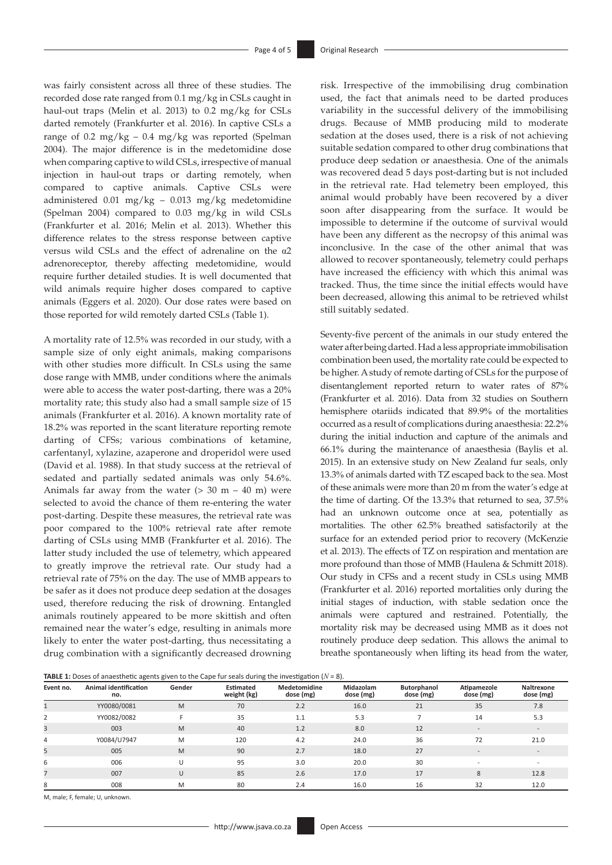was fairly consistent across all three of these studies. The recorded dose rate ranged from 0.1 mg/kg in CSLs caught in haul-out traps (Melin et al. 2013) to 0.2 mg/kg for CSLs darted remotely (Frankfurter et al. 2016). In captive CSLs a range of 0.2 mg/kg – 0.4 mg/kg was reported (Spelman 2004). The major difference is in the medetomidine dose when comparing captive to wild CSLs, irrespective of manual injection in haul-out traps or darting remotely, when compared to captive animals. Captive CSLs were administered 0.01 mg/kg – 0.013 mg/kg medetomidine (Spelman 2004) compared to 0.03 mg/kg in wild CSLs (Frankfurter et al. 2016; Melin et al. 2013). Whether this difference relates to the stress response between captive versus wild CSLs and the effect of adrenaline on the α2 adrenoreceptor, thereby affecting medetomidine, would require further detailed studies. It is well documented that wild animals require higher doses compared to captive animals (Eggers et al. 2020). Our dose rates were based on those reported for wild remotely darted CSLs (Table 1).

A mortality rate of 12.5% was recorded in our study, with a sample size of only eight animals, making comparisons with other studies more difficult. In CSLs using the same dose range with MMB, under conditions where the animals were able to access the water post-darting, there was a 20% mortality rate; this study also had a small sample size of 15 animals (Frankfurter et al. 2016). A known mortality rate of 18.2% was reported in the scant literature reporting remote darting of CFSs; various combinations of ketamine, carfentanyl, xylazine, azaperone and droperidol were used (David et al. 1988). In that study success at the retrieval of sedated and partially sedated animals was only 54.6%. Animals far away from the water  $(> 30 \text{ m} - 40 \text{ m})$  were selected to avoid the chance of them re-entering the water post-darting. Despite these measures, the retrieval rate was poor compared to the 100% retrieval rate after remote darting of CSLs using MMB (Frankfurter et al. 2016). The latter study included the use of telemetry, which appeared to greatly improve the retrieval rate. Our study had a retrieval rate of 75% on the day. The use of MMB appears to be safer as it does not produce deep sedation at the dosages used, therefore reducing the risk of drowning. Entangled animals routinely appeared to be more skittish and often remained near the water's edge, resulting in animals more likely to enter the water post-darting, thus necessitating a drug combination with a significantly decreased drowning

risk. Irrespective of the immobilising drug combination used, the fact that animals need to be darted produces variability in the successful delivery of the immobilising drugs. Because of MMB producing mild to moderate sedation at the doses used, there is a risk of not achieving suitable sedation compared to other drug combinations that produce deep sedation or anaesthesia. One of the animals was recovered dead 5 days post-darting but is not included in the retrieval rate. Had telemetry been employed, this animal would probably have been recovered by a diver soon after disappearing from the surface. It would be impossible to determine if the outcome of survival would have been any different as the necropsy of this animal was inconclusive. In the case of the other animal that was allowed to recover spontaneously, telemetry could perhaps have increased the efficiency with which this animal was tracked. Thus, the time since the initial effects would have been decreased, allowing this animal to be retrieved whilst still suitably sedated.

Seventy-five percent of the animals in our study entered the water after being darted. Had a less appropriate immobilisation combination been used, the mortality rate could be expected to be higher. A study of remote darting of CSLs for the purpose of disentanglement reported return to water rates of 87% (Frankfurter et al. 2016). Data from 32 studies on Southern hemisphere otariids indicated that 89.9% of the mortalities occurred as a result of complications during anaesthesia: 22.2% during the initial induction and capture of the animals and 66.1% during the maintenance of anaesthesia (Baylis et al. 2015). In an extensive study on New Zealand fur seals, only 13.3% of animals darted with TZ escaped back to the sea. Most of these animals were more than 20 m from the water's edge at the time of darting. Of the 13.3% that returned to sea, 37.5% had an unknown outcome once at sea, potentially as mortalities. The other 62.5% breathed satisfactorily at the surface for an extended period prior to recovery (McKenzie et al. 2013). The effects of TZ on respiration and mentation are more profound than those of MMB (Haulena & Schmitt 2018). Our study in CFSs and a recent study in CSLs using MMB (Frankfurter et al. 2016) reported mortalities only during the initial stages of induction, with stable sedation once the animals were captured and restrained. Potentially, the mortality risk may be decreased using MMB as it does not routinely produce deep sedation. This allows the animal to breathe spontaneously when lifting its head from the water,

**TABLE** 1: Doses of anaesthetic agents given to the Cape fur seals during the investigation  $(N = 8)$ .

| Event no. | <b>Animal identification</b><br>no. | Gender | Estimated<br>weight (kg) | <b>Medetomidine</b><br>dose (mg) | Midazolam<br>dose (mg) | Butorphanol<br>dose (mg) | Atipamezole<br>dose (mg) | Naltrexone<br>dose (mg)  |
|-----------|-------------------------------------|--------|--------------------------|----------------------------------|------------------------|--------------------------|--------------------------|--------------------------|
|           | YY0080/0081                         | M      | 70                       | 2.2                              | 16.0                   | 21                       | 35                       | 7.8                      |
|           | YY0082/0082                         |        | 35                       | 1.1                              | 5.3                    |                          | 14                       | 5.3                      |
|           | 003                                 | M      | 40                       | 1.2                              | 8.0                    | 12                       |                          |                          |
| 4         | Y0084/U7947                         | M      | 120                      | 4.2                              | 24.0                   | 36                       | 72                       | 21.0                     |
|           | 005                                 | M      | 90                       | 2.7                              | 18.0                   | 27                       |                          |                          |
| 6         | 006                                 |        | 95                       | 3.0                              | 20.0                   | 30                       |                          | $\overline{\phantom{a}}$ |
|           | 007                                 | U      | 85                       | 2.6                              | 17.0                   | 17                       | 8                        | 12.8                     |
| 8         | 008                                 | M      | 80                       | 2.4                              | 16.0                   | 16                       | 32                       | 12.0                     |

M, male; F, female; U, unknown.